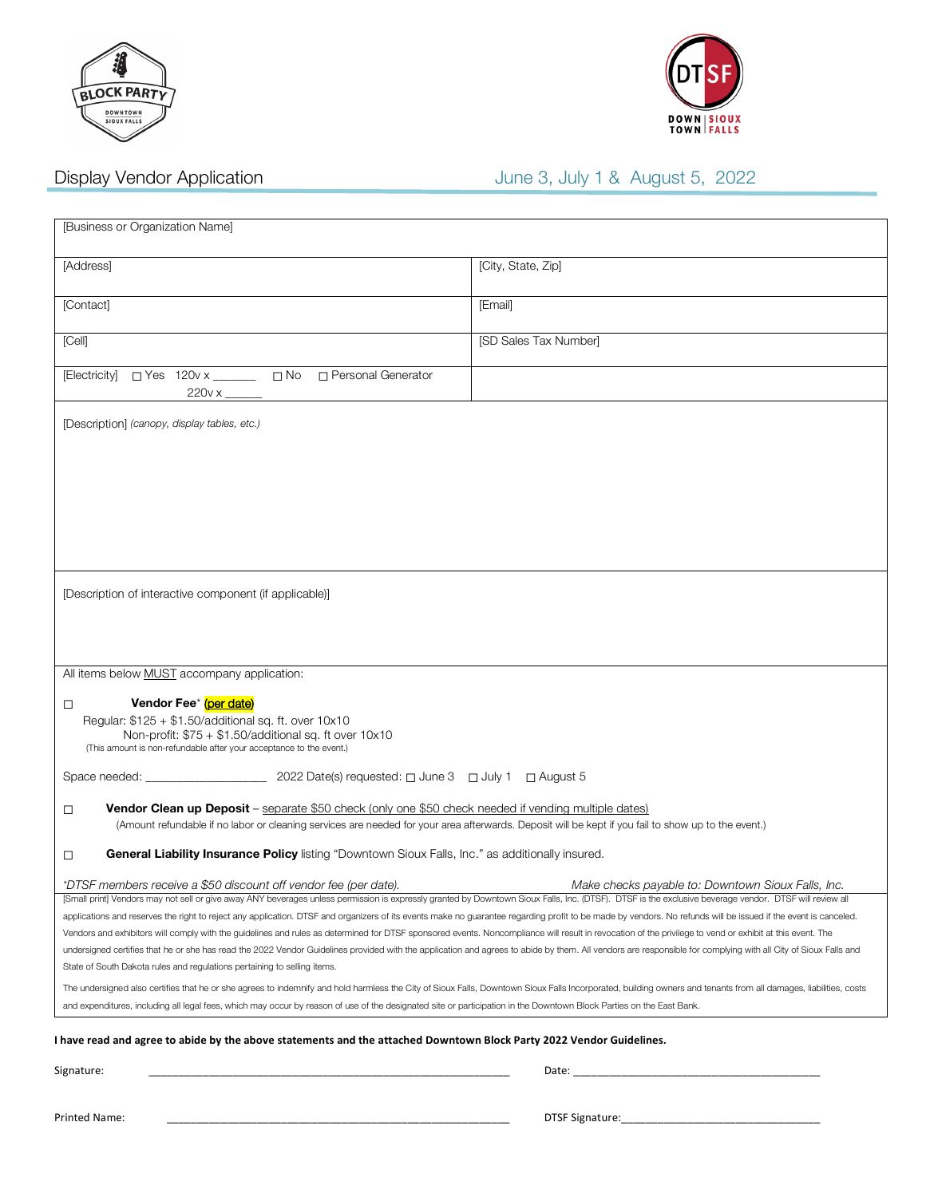



# Display Vendor Application **June 3**, July 1 & August 5, 2022

| [Business or Organization Name]                                                                                                                                                                                                                                                                                                                                                                                                                                                              |                                                    |
|----------------------------------------------------------------------------------------------------------------------------------------------------------------------------------------------------------------------------------------------------------------------------------------------------------------------------------------------------------------------------------------------------------------------------------------------------------------------------------------------|----------------------------------------------------|
| [Address]                                                                                                                                                                                                                                                                                                                                                                                                                                                                                    | [City, State, Zip]                                 |
| [Contact]                                                                                                                                                                                                                                                                                                                                                                                                                                                                                    | [Email]                                            |
| [Cell]                                                                                                                                                                                                                                                                                                                                                                                                                                                                                       | [SD Sales Tax Number]                              |
| [Electricity] □ Yes 120v x _ _ _ □ No □ Personal Generator                                                                                                                                                                                                                                                                                                                                                                                                                                   |                                                    |
| [Description] (canopy, display tables, etc.)                                                                                                                                                                                                                                                                                                                                                                                                                                                 |                                                    |
| [Description of interactive component (if applicable)]                                                                                                                                                                                                                                                                                                                                                                                                                                       |                                                    |
| All items below MUST accompany application:                                                                                                                                                                                                                                                                                                                                                                                                                                                  |                                                    |
| Vendor Fee <sup>*</sup> (per date)<br>□<br>Regular: \$125 + \$1.50/additional sq. ft. over 10x10<br>Non-profit: \$75 + \$1.50/additional sq. ft over 10x10<br>(This amount is non-refundable after your acceptance to the event.)                                                                                                                                                                                                                                                            |                                                    |
|                                                                                                                                                                                                                                                                                                                                                                                                                                                                                              |                                                    |
| <b>Vendor Clean up Deposit</b> – separate \$50 check (only one \$50 check needed if vending multiple dates)<br>□<br>(Amount refundable if no labor or cleaning services are needed for your area afterwards. Deposit will be kept if you fail to show up to the event.)                                                                                                                                                                                                                      |                                                    |
| General Liability Insurance Policy listing "Downtown Sioux Falls, Inc." as additionally insured.<br>□                                                                                                                                                                                                                                                                                                                                                                                        |                                                    |
| *DTSF members receive a \$50 discount off vendor fee (per date).<br>[Small print] Vendors may not sell or give away ANY beverages unless permission is expressly granted by Downtown Sioux Falls, Inc. (DTSF). DTSF is the exclusive beverage vendor. DTSF will review all<br>applications and reserves the right to reject any application. DTSF and organizers of its events make no guarantee regarding profit to be made by vendors. No refunds will be issued if the event is canceled. | Make checks payable to: Downtown Sioux Falls, Inc. |
| Vendors and exhibitors will comply with the guidelines and rules as determined for DTSF sponsored events. Noncompliance will result in revocation of the privilege to vend or exhibit at this event. The                                                                                                                                                                                                                                                                                     |                                                    |
| undersigned certifies that he or she has read the 2022 Vendor Guidelines provided with the application and agrees to abide by them. All vendors are responsible for complying with all City of Sioux Falls and<br>State of South Dakota rules and regulations pertaining to selling items.                                                                                                                                                                                                   |                                                    |
| The undersigned also certifies that he or she agrees to indemnify and hold harmless the City of Sioux Falls, Downtown Sioux Falls Incorporated, building owners and tenants from all damages, liabilities, costs<br>and expenditures, including all legal fees, which may occur by reason of use of the designated site or participation in the Downtown Block Parties on the East Bank.                                                                                                     |                                                    |
|                                                                                                                                                                                                                                                                                                                                                                                                                                                                                              |                                                    |
| I have read and agree to abide by the above statements and the attached Downtown Block Party 2022 Vendor Guidelines.<br>Signature:                                                                                                                                                                                                                                                                                                                                                           |                                                    |
|                                                                                                                                                                                                                                                                                                                                                                                                                                                                                              |                                                    |

Printed Name: \_\_\_\_\_\_\_\_\_\_\_\_\_\_\_\_\_\_\_\_\_\_\_\_\_\_\_\_\_\_\_\_\_\_\_\_\_\_\_\_\_\_\_\_\_\_\_\_\_\_\_\_\_\_\_\_\_DTSF Signature:\_\_\_\_\_\_\_\_\_\_\_\_\_\_\_\_\_\_\_\_\_\_\_\_\_\_\_\_\_\_\_\_\_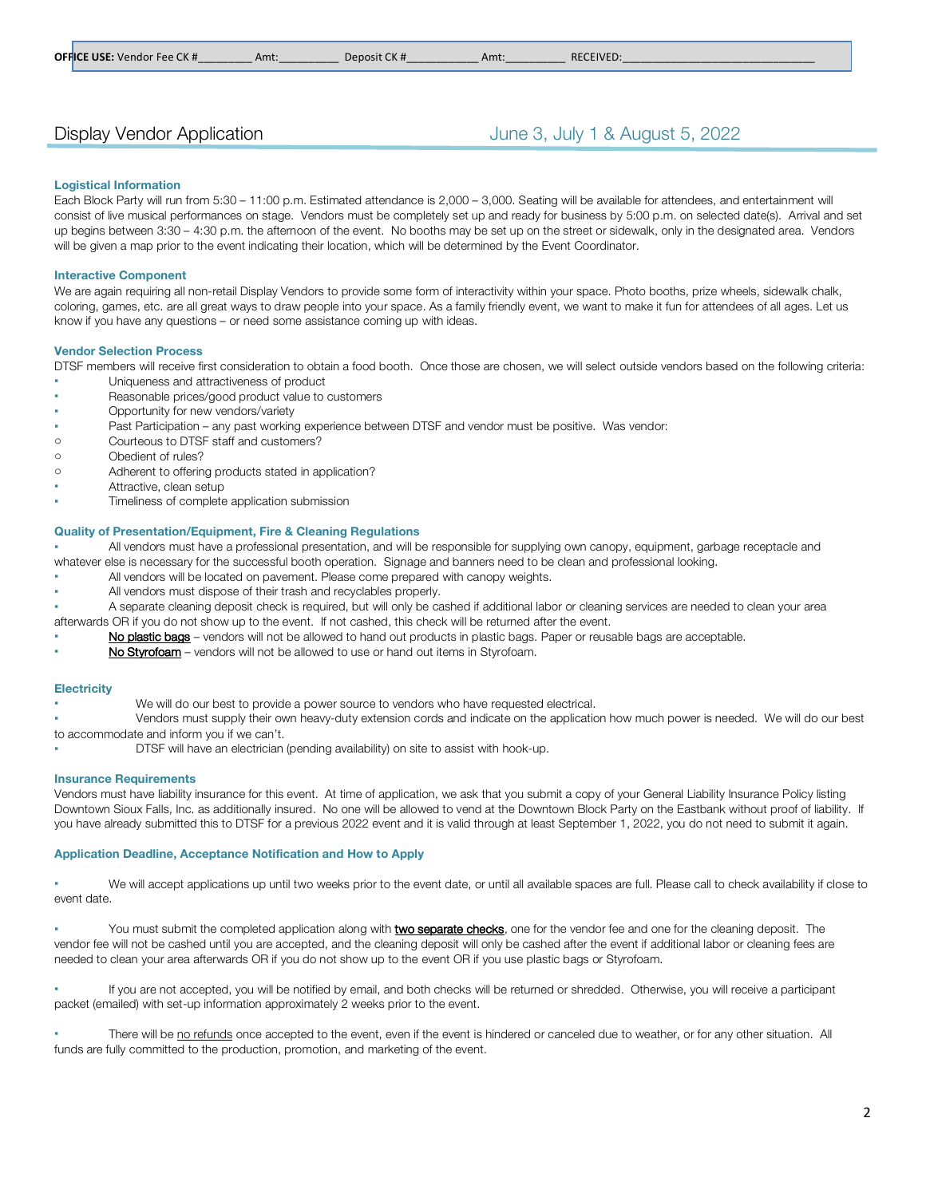## Display Vendor Application **June 3, July 1 & August 5, 2022**

#### **Logistical Information**

Each Block Party will run from 5:30 – 11:00 p.m. Estimated attendance is 2,000 – 3,000. Seating will be available for attendees, and entertainment will consist of live musical performances on stage. Vendors must be completely set up and ready for business by 5:00 p.m. on selected date(s). Arrival and set up begins between 3:30 – 4:30 p.m. the afternoon of the event. No booths may be set up on the street or sidewalk, only in the designated area. Vendors will be given a map prior to the event indicating their location, which will be determined by the Event Coordinator.

#### **Interactive Component**

We are again requiring all non-retail Display Vendors to provide some form of interactivity within your space. Photo booths, prize wheels, sidewalk chalk, coloring, games, etc. are all great ways to draw people into your space. As a family friendly event, we want to make it fun for attendees of all ages. Let us know if you have any questions – or need some assistance coming up with ideas.

#### **Vendor Selection Process**

DTSF members will receive first consideration to obtain a food booth. Once those are chosen, we will select outside vendors based on the following criteria:

- Uniqueness and attractiveness of product
- Reasonable prices/good product value to customers
- Opportunity for new vendors/variety
- Past Participation any past working experience between DTSF and vendor must be positive. Was vendor:
- o Courteous to DTSF staff and customers?
- o Obedient of rules?
- o Adherent to offering products stated in application?
- Attractive, clean setup
- Timeliness of complete application submission

#### **Quality of Presentation/Equipment, Fire & Cleaning Regulations**

All vendors must have a professional presentation, and will be responsible for supplying own canopy, equipment, garbage receptacle and whatever else is necessary for the successful booth operation. Signage and banners need to be clean and professional looking.

- All vendors will be located on pavement. Please come prepared with canopy weights.
- All vendors must dispose of their trash and recyclables properly.

A separate cleaning deposit check is required, but will only be cashed if additional labor or cleaning services are needed to clean your area afterwards OR if you do not show up to the event. If not cashed, this check will be returned after the event.

- No plastic bags vendors will not be allowed to hand out products in plastic bags. Paper or reusable bags are acceptable.
- No Styrofoam vendors will not be allowed to use or hand out items in Styrofoam.

#### **Electricity**

We will do our best to provide a power source to vendors who have requested electrical.

Vendors must supply their own heavy-duty extension cords and indicate on the application how much power is needed. We will do our best to accommodate and inform you if we can't.

DTSF will have an electrician (pending availability) on site to assist with hook-up.

#### **Insurance Requirements**

Vendors must have liability insurance for this event. At time of application, we ask that you submit a copy of your General Liability Insurance Policy listing Downtown Sioux Falls, Inc. as additionally insured. No one will be allowed to vend at the Downtown Block Party on the Eastbank without proof of liability. If you have already submitted this to DTSF for a previous 2022 event and it is valid through at least September 1, 2022, you do not need to submit it again.

#### **Application Deadline, Acceptance Notification and How to Apply**

We will accept applications up until two weeks prior to the event date, or until all available spaces are full. Please call to check availability if close to event date.

You must submit the completed application along with **two separate checks**, one for the vendor fee and one for the cleaning deposit. The vendor fee will not be cashed until you are accepted, and the cleaning deposit will only be cashed after the event if additional labor or cleaning fees are needed to clean your area afterwards OR if you do not show up to the event OR if you use plastic bags or Styrofoam.

If you are not accepted, you will be notified by email, and both checks will be returned or shredded. Otherwise, you will receive a participant packet (emailed) with set-up information approximately 2 weeks prior to the event.

There will be no refunds once accepted to the event, even if the event is hindered or canceled due to weather, or for any other situation. All funds are fully committed to the production, promotion, and marketing of the event.